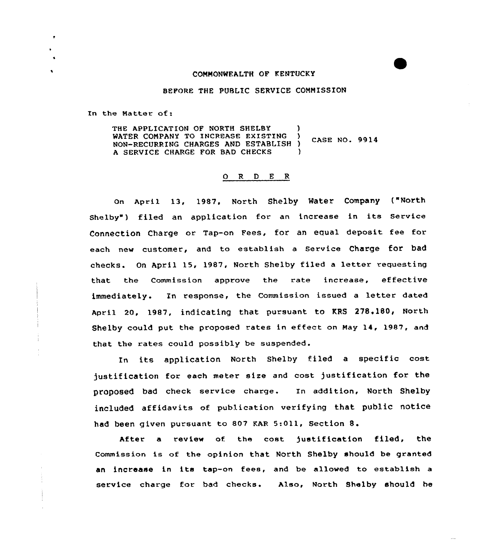#### COMMONWEALTH QF KENTUCKY

#### BEFORE THE PUBLIC SERVICE COMMISSION

In the Natter of:

THE APPLICATION OF NORTH SHELBY WATER COMPANY TO INCREASE EXISTING ) CASE NO. 9914 NON-RECURRING CHARGES AND ESTABLISH ) A SERVICE CHARGE FOR BAD CHECKS

#### 0 R <sup>D</sup> E <sup>R</sup>

April 13, 1987. NOrth Shelby Mater COmpany ("NOrth Shelby') filed an application for an increase in its Service Connection Charge or Tap-on Fees, for an equal deposit. fee for each new customer, and to establish a Service Charge for bad checks. On April 15, 1987, North Shelby filed a letter requesting that the Commission approve the rate increase, effective immediately. In response, the Commission issued <sup>a</sup> letter dated April 20, 1987, indicating that pursuant to KRS 278.180, North Shelby could put the proposed rates in effect on May 14, 1987, and that the rates could possibly be suspended.

In its application North Shelby filed <sup>a</sup> specific cost justification for each meter size and cost justification for the proposed bad check service charge. In addition. North Shelby included affidavits of publication verifying that public notice had been given pursuant to 807 KAR 5:011, Section 8.

After a review of the cost justification filed, the Commission is of the opinion that North Shelby should be granted an increase in its tap-on fees, and be allowed to establish <sup>a</sup> service charge for bad checks. Also, North Shelby should he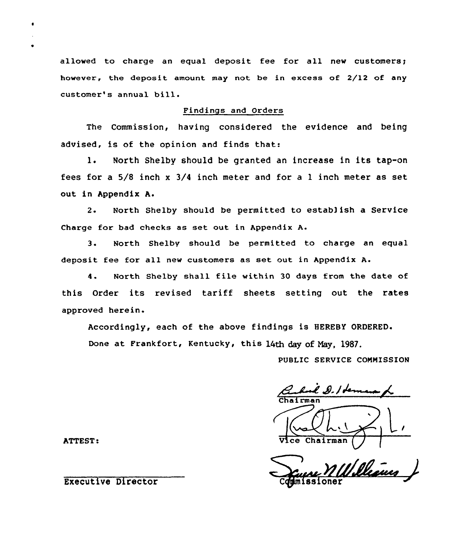allowed to charge an equal deposit fee for all new customers; however, the deposit amount may not be in excess of 2/12 of any customer's annual bill.

### Findings and Orders

The Commission, having considered the evidence and being advised, is of the opinion and finds that:

l. North Shelby should be granted an increase in its tap-on fees for a 5/8 inch x 3/4 inch meter and for a l inch meter as set out in Appendix A.

2. North Shelby should be permitted to estab) ish a Service Charge for bad checks as set out in Appendix A.

3. North Shelby should be permitted to charge an equal deposit fee for all new customers as set out in Appendix A.

<sup>4</sup> North Shelby shall file within <sup>30</sup> days from the date of this Order its revised tariff sheets setting out the rates approved herein.

Accordingly, each of the above findings is HEREBY ORDERED.

Done at Frankfort, Kentucky, this 14th day of May. 1987.

PUBLIC SERVICE CQNNISSION

had g./**de**+ Chairma

Williams

ATTEST:  $\overline{V}$ ice Chairmanns and  $\overline{V}$ ice Chairmanns and  $\overline{V}$ ice Chairmanns and  $\overline{V}$ ice Chairmanns and  $\overline{V}$ ice Chairmanns and  $\overline{V}$ ice Chairmanns and  $\overline{V}$ ice Chairmanns and an iomraid and an iomraid

 $\bullet$ 

 $\epsilon$ 

Executive Director